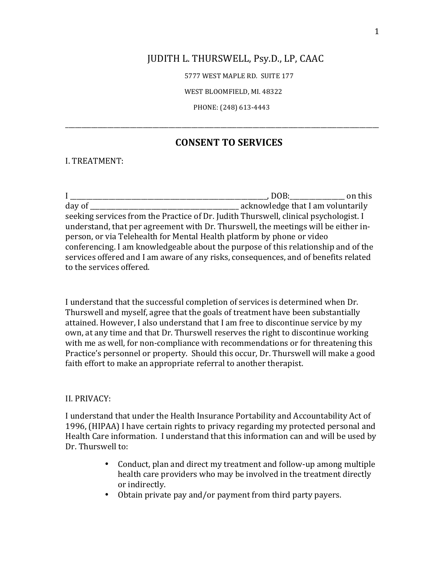## JUDITH L. THURSWELL, Psy.D., LP, CAAC

5777 WEST MAPLE RD. SUITE 177

WEST BLOOMFIELD, MI. 48322

PHONE: (248) 613-4443

# **CONSENT TO SERVICES**

\_\_\_\_\_\_\_\_\_\_\_\_\_\_\_\_\_\_\_\_\_\_\_\_\_\_\_\_\_\_\_\_\_\_\_\_\_\_\_\_\_\_\_\_\_\_\_\_\_\_\_\_\_\_\_\_\_\_\_\_\_\_\_\_\_\_\_\_\_\_\_\_\_\_\_\_\_\_\_\_\_\_\_\_\_\_\_\_\_\_\_\_\_\_\_\_\_

I. TREATMENT:

I \_\_\_\_\_\_\_\_\_\_\_\_\_\_\_\_\_\_\_\_\_\_\_\_\_\_\_\_\_\_\_\_\_\_\_\_\_\_\_\_\_\_\_\_\_\_\_\_\_\_\_\_\_\_\_\_\_\_\_\_\_, DOB:\_\_\_\_\_\_\_\_\_\_\_\_\_\_\_\_\_ on this day of \_\_\_\_\_\_\_\_\_\_\_\_\_\_\_\_\_\_\_\_\_\_\_\_\_\_\_\_\_\_\_\_\_\_\_\_\_\_\_\_\_\_\_\_\_\_ acknowledge that I am voluntarily seeking services from the Practice of Dr. Judith Thurswell, clinical psychologist. I understand, that per agreement with Dr. Thurswell, the meetings will be either inperson, or via Telehealth for Mental Health platform by phone or video conferencing. I am knowledgeable about the purpose of this relationship and of the services offered and I am aware of any risks, consequences, and of benefits related to the services offered.

I understand that the successful completion of services is determined when Dr. Thurswell and myself, agree that the goals of treatment have been substantially attained. However, I also understand that I am free to discontinue service by my own, at any time and that Dr. Thurswell reserves the right to discontinue working with me as well, for non-compliance with recommendations or for threatening this Practice's personnel or property. Should this occur, Dr. Thurswell will make a good faith effort to make an appropriate referral to another therapist.

#### II. PRIVACY:

I understand that under the Health Insurance Portability and Accountability Act of 1996, (HIPAA) I have certain rights to privacy regarding my protected personal and Health Care information. I understand that this information can and will be used by Dr. Thurswell to:

- Conduct, plan and direct my treatment and follow-up among multiple health care providers who may be involved in the treatment directly or indirectly.
- Obtain private pay and/or payment from third party payers.